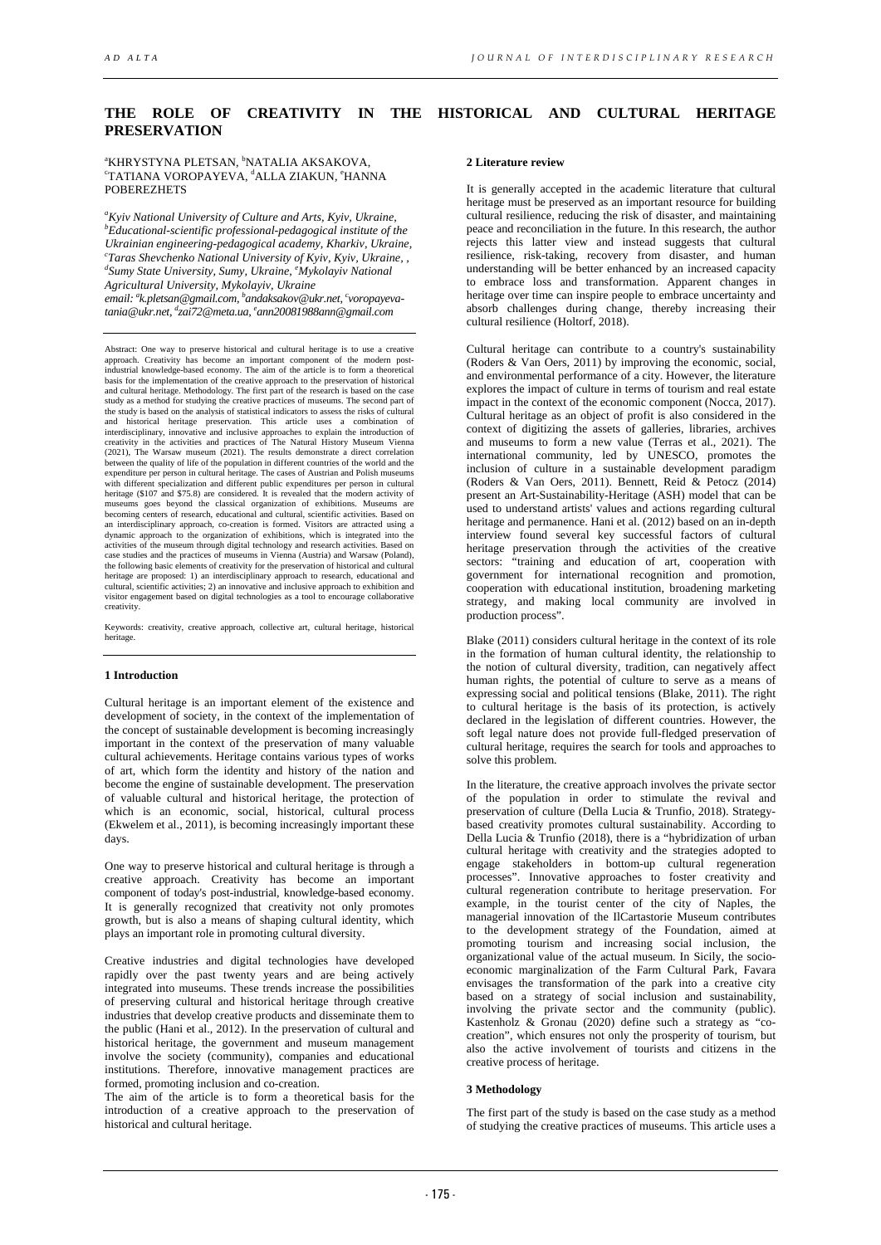# **THE ROLE OF CREATIVITY IN THE HISTORICAL AND CULTURAL HERITAGE PRESERVATION**

### **"KHRYSTYNA PLETSAN, <sup>b</sup>NATALIA AKSAKOVA,<br>"TATIANA VOROBAYEVA, <sup>d</sup>ALLA ZIAKUN, <sup>e</sup>HAND** TATIANA VOROPAYEVA, <sup>d</sup>ALLA ZIAKUN, °HANNA POBEREZHETS

*a Kyiv National University of Culture and Arts, Kyiv, Ukraine, b Educational-scientific professional-pedagogical institute of the Ukrainian engineering-pedagogical academy, Kharkiv, Ukraine, c Taras Shevchenko National University of Kyiv, Kyiv, Ukraine, , d Sumy State University, Sumy, Ukraine, e Mykolayiv National Agricultural University, Mykolayiv, Ukraine*

*email: a k.pletsan@gmail.com, b andaksakov@ukr.net, c voropayevatania@ukr.net, d zai72@meta.ua, e ann20081988ann@gmail.com*

Abstract: One way to preserve historical and cultural heritage is to use a creative approach. Creativity has become an important component of the modern post-industrial knowledge-based economy. The aim of the article is to form a theoretical basis for the implementation of the creative approach to the preservation of historical and cultural heritage. Methodology. The first part of the research is based on the case study as a method for studying the creative practices of museums. The second part of the study is based on the analysis of statistical indicators to assess the risks of cultural and historical heritage preservation. This article uses a combination of interdisciplinary, innovative and inclusive approaches to explain the introduction of creativity in the activities and practices of The Natural History Museum Vienna (2021), The Warsaw museum (2021). The results demonstrate a direct correlation between the quality of life of the population in different coun with different specialization and different public expenditures per person in cultural heritage (\$107 and \$75.8) are considered. It is revealed that the modern activity of museums goes beyond the classical organization of exhibitions. Museums are becoming centers of research, educational and cultural, scientific activities. Based on an interdisciplinary approach, co-creation is formed. Visitors are attracted using a<br>dynamic approach to the organization of exhibitions, which is integrated into the<br>activities of the museum through digital technology and case studies and the practices of museums in Vienna (Austria) and Warsaw (Poland), the following basic elements of creativity for the preservation of historical and cultural heritage are proposed: 1) an interdisciplinary approach to research, educational and<br>cultural, scientific activities; 2) an innovative and inclusive approach to exhibition and<br>visitor engagement based on digital technologi creativity.

Keywords: creativity, creative approach, collective art, cultural heritage, historical heritage.

#### **1 Introduction**

Cultural heritage is an important element of the existence and development of society, in the context of the implementation of the concept of sustainable development is becoming increasingly important in the context of the preservation of many valuable cultural achievements. Heritage contains various types of works of art, which form the identity and history of the nation and become the engine of sustainable development. The preservation of valuable cultural and historical heritage, the protection of which is an economic, social, historical, cultural process (Ekwelem et al., 2011), is becoming increasingly important these days.

One way to preserve historical and cultural heritage is through a creative approach. Creativity has become an important component of today's post-industrial, knowledge-based economy. It is generally recognized that creativity not only promotes growth, but is also a means of shaping cultural identity, which plays an important role in promoting cultural diversity.

Creative industries and digital technologies have developed rapidly over the past twenty years and are being actively integrated into museums. These trends increase the possibilities of preserving cultural and historical heritage through creative industries that develop creative products and disseminate them to the public (Hani et al., 2012). In the preservation of cultural and historical heritage, the government and museum management involve the society (community), companies and educational institutions. Therefore, innovative management practices are formed, promoting inclusion and co-creation.

The aim of the article is to form a theoretical basis for the introduction of a creative approach to the preservation of historical and cultural heritage.

### **2 Literature review**

It is generally accepted in the academic literature that cultural heritage must be preserved as an important resource for building cultural resilience, reducing the risk of disaster, and maintaining peace and reconciliation in the future. In this research, the author rejects this latter view and instead suggests that cultural resilience, risk-taking, recovery from disaster, and human understanding will be better enhanced by an increased capacity to embrace loss and transformation. Apparent changes in heritage over time can inspire people to embrace uncertainty and absorb challenges during change, thereby increasing their cultural resilience (Holtorf, 2018).

Cultural heritage can contribute to a country's sustainability (Roders & Van Oers, 2011) by improving the economic, social, and environmental performance of a city. However, the literature explores the impact of culture in terms of tourism and real estate impact in the context of the economic component (Nocca, 2017). Cultural heritage as an object of profit is also considered in the context of digitizing the assets of galleries, libraries, archives and museums to form a new value (Terras et al., 2021). The international community, led by UNESCO, promotes the inclusion of culture in a sustainable development paradigm (Roders & Van Oers, 2011). Bennett, Reid & Petocz (2014) present an Art-Sustainability-Heritage (ASH) model that can be used to understand artists' values and actions regarding cultural heritage and permanence. Hani et al. (2012) based on an in-depth interview found several key successful factors of cultural heritage preservation through the activities of the creative sectors: "training and education of art, cooperation with government for international recognition and promotion, cooperation with educational institution, broadening marketing strategy, and making local community are involved in production process".

Blake (2011) considers cultural heritage in the context of its role in the formation of human cultural identity, the relationship to the notion of cultural diversity, tradition, can negatively affect human rights, the potential of culture to serve as a means of expressing social and political tensions (Blake, 2011). The right to cultural heritage is the basis of its protection, is actively declared in the legislation of different countries. However, the soft legal nature does not provide full-fledged preservation of cultural heritage, requires the search for tools and approaches to solve this problem.

In the literature, the creative approach involves the private sector of the population in order to stimulate the revival and preservation of culture (Della Lucia & Trunfio, 2018). Strategybased creativity promotes cultural sustainability. According to Della Lucia & Trunfio (2018), there is a "hybridization of urban cultural heritage with creativity and the strategies adopted to engage stakeholders in bottom-up cultural regeneration processes". Innovative approaches to foster creativity and cultural regeneration contribute to heritage preservation. For example, in the tourist center of the city of Naples, the managerial innovation of the IlCartastorie Museum contributes to the development strategy of the Foundation, aimed at promoting tourism and increasing social inclusion, the organizational value of the actual museum. In Sicily, the socioeconomic marginalization of the Farm Cultural Park, Favara envisages the transformation of the park into a creative city based on a strategy of social inclusion and sustainability, involving the private sector and the community (public). Kastenholz & Gronau (2020) define such a strategy as "cocreation", which ensures not only the prosperity of tourism, but also the active involvement of tourists and citizens in the creative process of heritage.

# **3 Methodology**

The first part of the study is based on the case study as a method of studying the creative practices of museums. This article uses a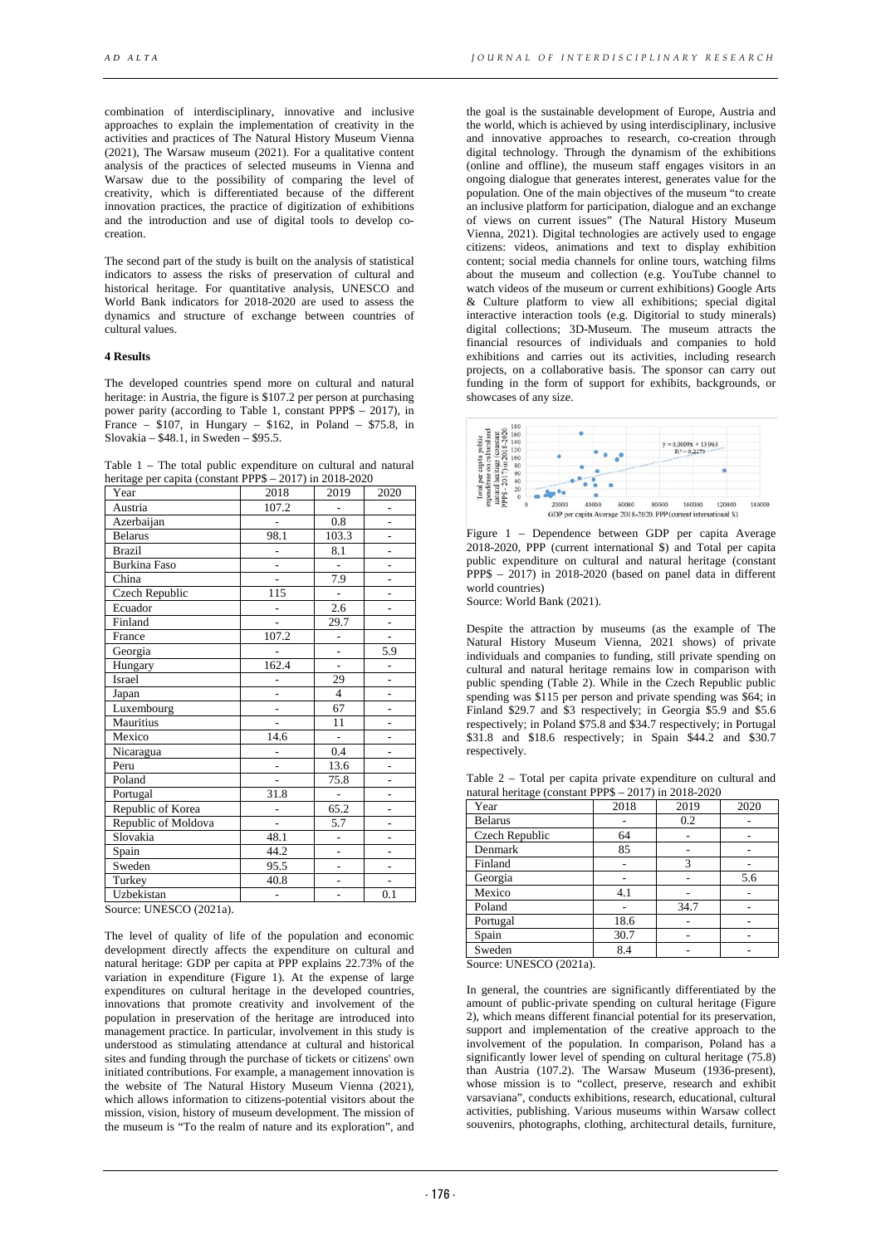combination of interdisciplinary, innovative and inclusive approaches to explain the implementation of creativity in the activities and practices of The Natural History Museum Vienna (2021), The Warsaw museum (2021). For a qualitative content analysis of the practices of selected museums in Vienna and Warsaw due to the possibility of comparing the level of creativity, which is differentiated because of the different innovation practices, the practice of digitization of exhibitions and the introduction and use of digital tools to develop cocreation.

The second part of the study is built on the analysis of statistical indicators to assess the risks of preservation of cultural and historical heritage. For quantitative analysis, UNESCO and World Bank indicators for 2018-2020 are used to assess the dynamics and structure of exchange between countries of cultural values.

# **4 Results**

The developed countries spend more on cultural and natural heritage: in Austria, the figure is \$107.2 per person at purchasing power parity (according to Table 1, constant PPP\$ – 2017), in France –  $$107$ , in Hungary –  $$162$ , in Poland –  $$75.8$ , in Slovakia – \$48.1, in Sweden – \$95.5.

Table 1 – The total public expenditure on cultural and natural heritage per capita (constant PPP\$ – 2017) in 2018-2020

| Year                | 2018           | 2019           | 2020           |  |
|---------------------|----------------|----------------|----------------|--|
| Austria             | 107.2          |                |                |  |
| Azerbaijan          |                | 0.8            | $\overline{a}$ |  |
| <b>Belarus</b>      | 98.1           | 103.3          | $\overline{a}$ |  |
| <b>Brazil</b>       | ä,             | 8.1            | L              |  |
| <b>Burkina Faso</b> | $\overline{a}$ |                | $\overline{a}$ |  |
| China               | $\overline{a}$ | 7.9            | $\overline{a}$ |  |
| Czech Republic      | 115            | L,             | -              |  |
| Ecuador             |                | 2.6            |                |  |
| Finland             | $\overline{a}$ | 29.7           | $\overline{a}$ |  |
| France              | 107.2          | -              |                |  |
| Georgia             |                |                | 5.9            |  |
| Hungary             | 162.4          | $\overline{a}$ | $\overline{a}$ |  |
| Israel              |                | 29             | $\overline{a}$ |  |
| Japan               |                | $\overline{4}$ | L,             |  |
| Luxembourg          | $\overline{a}$ | 67             | $\overline{a}$ |  |
| Mauritius           | $\overline{a}$ | 11             | $\overline{a}$ |  |
| Mexico              | 14.6           |                | $\overline{a}$ |  |
| Nicaragua           |                | 0.4            |                |  |
| Peru                | $\overline{a}$ | 13.6           | $\overline{a}$ |  |
| Poland              |                | 75.8           | $\overline{a}$ |  |
| Portugal            | 31.8           |                | L,             |  |
| Republic of Korea   |                | 65.2           | $\overline{a}$ |  |
| Republic of Moldova | $\overline{a}$ | 5.7            | L,             |  |
| Slovakia            | 48.1           | $\overline{a}$ | $\overline{a}$ |  |
| Spain               | 44.2           | $\overline{a}$ | $\overline{a}$ |  |
| Sweden              | 95.5           | $\overline{a}$ | ÷              |  |
| Turkey              | 40.8           |                |                |  |
| Uzbekistan          | $\overline{a}$ | $\overline{a}$ | 0.1            |  |

Source: UNESCO (2021a).

The level of quality of life of the population and economic development directly affects the expenditure on cultural and natural heritage: GDP per capita at PPP explains 22.73% of the variation in expenditure (Figure 1). At the expense of large expenditures on cultural heritage in the developed countries, innovations that promote creativity and involvement of the population in preservation of the heritage are introduced into management practice. In particular, involvement in this study is understood as stimulating attendance at cultural and historical sites and funding through the purchase of tickets or citizens' own initiated contributions. For example, a management innovation is the website of The Natural History Museum Vienna (2021), which allows information to citizens-potential visitors about the mission, vision, history of museum development. The mission of the museum is "To the realm of nature and its exploration", and

the goal is the sustainable development of Europe, Austria and the world, which is achieved by using interdisciplinary, inclusive and innovative approaches to research, co-creation through digital technology. Through the dynamism of the exhibitions (online and offline), the museum staff engages visitors in an ongoing dialogue that generates interest, generates value for the population. One of the main objectives of the museum "to create an inclusive platform for participation, dialogue and an exchange of views on current issues" (The Natural History Museum Vienna, 2021). Digital technologies are actively used to engage citizens: videos, animations and text to display exhibition content; social media channels for online tours, watching films about the museum and collection (e.g. YouTube channel to watch videos of the museum or current exhibitions) Google Arts & Culture platform to view all exhibitions; special digital interactive interaction tools (e.g. Digitorial to study minerals) digital collections; 3D-Museum. The museum attracts the financial resources of individuals and companies to hold exhibitions and carries out its activities, including research projects, on a collaborative basis. The sponsor can carry out funding in the form of support for exhibits, backgrounds, or showcases of any size.



Figure 1 – Dependence between GDP per capita Average 2018-2020, PPP (current international \$) and Total per capita public expenditure on cultural and natural heritage (constant PPP\$ – 2017) in 2018-2020 (based on panel data in different world countries)

Source: World Bank (2021).

Despite the attraction by museums (as the example of The Natural History Museum Vienna, 2021 shows) of private individuals and companies to funding, still private spending on cultural and natural heritage remains low in comparison with public spending (Table 2). While in the Czech Republic public spending was \$115 per person and private spending was \$64; in Finland \$29.7 and \$3 respectively; in Georgia \$5.9 and \$5.6 respectively; in Poland \$75.8 and \$34.7 respectively; in Portugal \$31.8 and \$18.6 respectively; in Spain \$44.2 and \$30.7 respectively.

Table 2 – Total per capita private expenditure on cultural and natural heritage (constant PPP\$ – 2017) in 2018-2020

| Year           | 2018 | 2019 | 2020 |
|----------------|------|------|------|
| <b>Belarus</b> |      | 0.2  |      |
| Czech Republic | 64   |      |      |
| Denmark        | 85   |      |      |
| Finland        |      | 3    |      |
| Georgia        |      |      | 5.6  |
| Mexico         | 4.1  |      |      |
| Poland         |      | 34.7 |      |
| Portugal       | 18.6 |      |      |
| Spain          | 30.7 |      |      |
| Sweden         | 8.4  |      |      |

Source: UNESCO (2021a).

In general, the countries are significantly differentiated by the amount of public-private spending on cultural heritage (Figure 2), which means different financial potential for its preservation, support and implementation of the creative approach to the involvement of the population. In comparison, Poland has a significantly lower level of spending on cultural heritage (75.8) than Austria (107.2). The Warsaw Museum (1936-present), whose mission is to "collect, preserve, research and exhibit varsaviana", conducts exhibitions, research, educational, cultural activities, publishing. Various museums within Warsaw collect souvenirs, photographs, clothing, architectural details, furniture,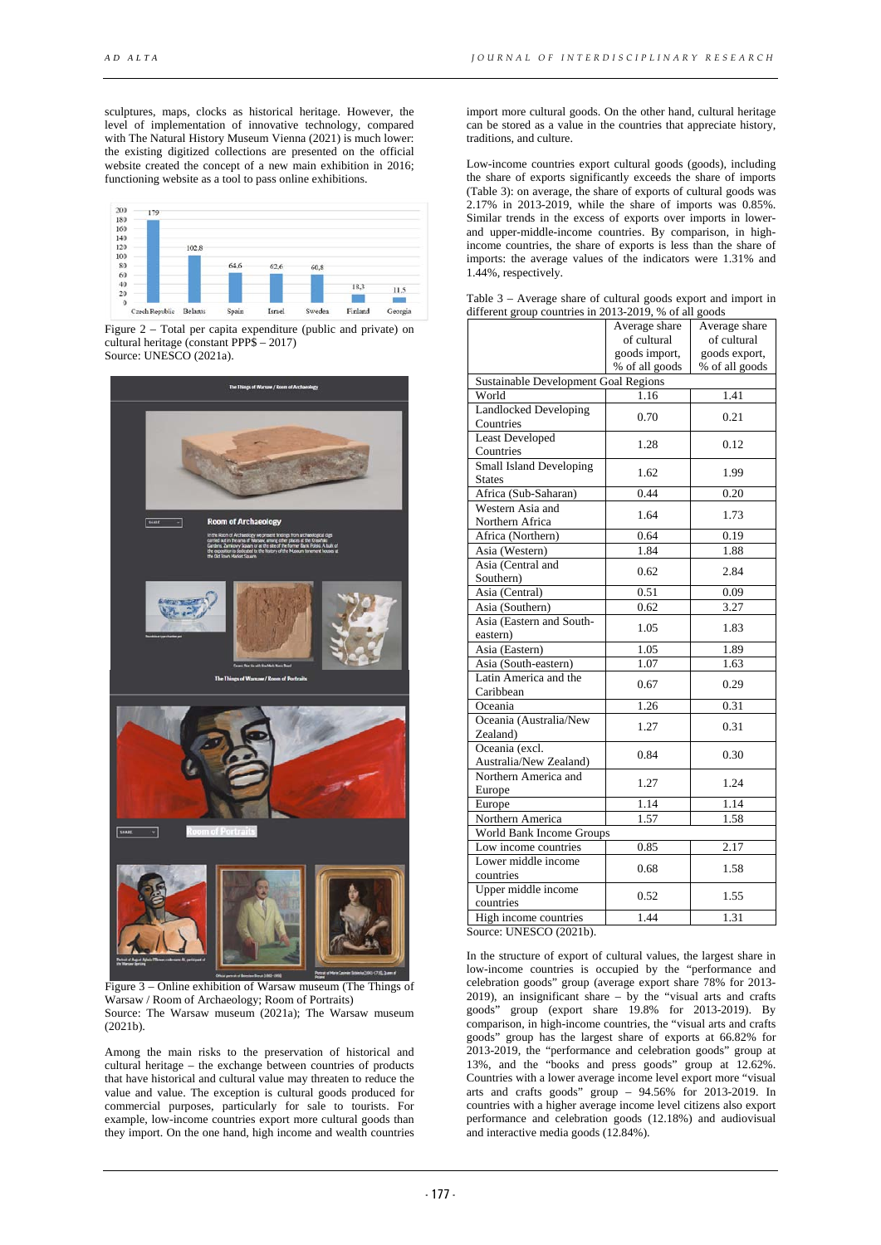sculptures, maps, clocks as historical heritage. However, the level of implementation of innovative technology, compared with The Natural History Museum Vienna (2021) is much lower: the existing digitized collections are presented on the official website created the concept of a new main exhibition in 2016; functioning website as a tool to pass online exhibitions.



Figure 2 – Total per capita expenditure (public and private) on cultural heritage (constant PPP\$ – 2017) Source: UNESCO (2021a).



Figure 3 – Online exhibition of Warsaw museum (The Things of Warsaw / Room of Archaeology; Room of Portraits) Source: The Warsaw museum (2021a); The Warsaw museum (2021b).

Among the main risks to the preservation of historical and cultural heritage – the exchange between countries of products that have historical and cultural value may threaten to reduce the value and value. The exception is cultural goods produced for commercial purposes, particularly for sale to tourists. For example, low-income countries export more cultural goods than they import. On the one hand, high income and wealth countries

import more cultural goods. On the other hand, cultural heritage can be stored as a value in the countries that appreciate history, traditions, and culture.

Low-income countries export cultural goods (goods), including the share of exports significantly exceeds the share of imports (Table 3): on average, the share of exports of cultural goods was 2.17% in 2013-2019, while the share of imports was 0.85%. Similar trends in the excess of exports over imports in lowerand upper-middle-income countries. By comparison, in highincome countries, the share of exports is less than the share of imports: the average values of the indicators were 1.31% and 1.44%, respectively.

| Table $3$ – Average share of cultural goods export and import in |  |
|------------------------------------------------------------------|--|
| different group countries in 2013-2019, % of all goods           |  |

|                                | Average share                        | Average share     |  |  |
|--------------------------------|--------------------------------------|-------------------|--|--|
|                                | of cultural                          | of cultural       |  |  |
|                                | goods import,                        | goods export,     |  |  |
|                                | % of all goods                       | % of all goods    |  |  |
|                                | Sustainable Development Goal Regions |                   |  |  |
| World                          | 1.16                                 | 1.41              |  |  |
| <b>Landlocked Developing</b>   | 0.70                                 | 0.21              |  |  |
| Countries                      |                                      |                   |  |  |
| Least Developed                | 1.28                                 | 0.12              |  |  |
| Countries                      |                                      |                   |  |  |
| <b>Small Island Developing</b> | 1.62                                 | 1.99              |  |  |
| <b>States</b>                  |                                      |                   |  |  |
| Africa (Sub-Saharan)           | 0.44                                 | 0.20              |  |  |
| Western Asia and               | 1.64                                 | 1.73              |  |  |
| Northern Africa                |                                      |                   |  |  |
| Africa (Northern)              | 0.64                                 | 0.19              |  |  |
| Asia (Western)                 | 1.84                                 | 1.88              |  |  |
| Asia (Central and              | 0.62                                 | 2.84              |  |  |
| Southern)                      |                                      |                   |  |  |
| Asia (Central)                 | 0.51                                 | 0.09              |  |  |
| Asia (Southern)                | 0.62                                 | 3.27              |  |  |
| Asia (Eastern and South-       | 1.05                                 | 1.83              |  |  |
| eastern)                       |                                      |                   |  |  |
| Asia (Eastern)                 | 1.05                                 | 1.89              |  |  |
| Asia (South-eastern)           | 1.07                                 | 1.63              |  |  |
| Latin America and the          | 0.67                                 | 0.29              |  |  |
| Caribbean                      |                                      |                   |  |  |
| Oceania                        | 1.26                                 | 0.31              |  |  |
| Oceania (Australia/New         | 1.27                                 | 0.31              |  |  |
| Zealand)                       |                                      |                   |  |  |
| Oceania (excl.                 | 0.84                                 | 0.30              |  |  |
| Australia/New Zealand)         |                                      |                   |  |  |
| Northern America and           | 1.27                                 | 1.24              |  |  |
| Europe                         |                                      |                   |  |  |
| Europe                         | 1.14                                 | $1.\overline{14}$ |  |  |
| Northern America               | 1.57                                 | 1.58              |  |  |
| World Bank Income Groups       |                                      |                   |  |  |
| Low income countries           | 0.85                                 | 2.17              |  |  |
| Lower middle income            | 0.68                                 | 1.58              |  |  |
| countries                      |                                      |                   |  |  |
| Upper middle income            | 0.52                                 | 1.55              |  |  |
| countries                      |                                      |                   |  |  |
| High income countries          | 1.44                                 | 1.31              |  |  |
| Source: UNESCO (2021b).        |                                      |                   |  |  |

In the structure of export of cultural values, the largest share in low-income countries is occupied by the "performance and celebration goods" group (average export share 78% for 2013- 2019), an insignificant share – by the "visual arts and crafts" goods" group (export share 19.8% for 2013-2019). By comparison, in high-income countries, the "visual arts and crafts goods" group has the largest share of exports at 66.82% for 2013-2019, the "performance and celebration goods" group at 13%, and the "books and press goods" group at 12.62%. Countries with a lower average income level export more "visual arts and crafts goods" group  $-$  94.56% for 2013-2019. In countries with a higher average income level citizens also export performance and celebration goods (12.18%) and audiovisual and interactive media goods (12.84%).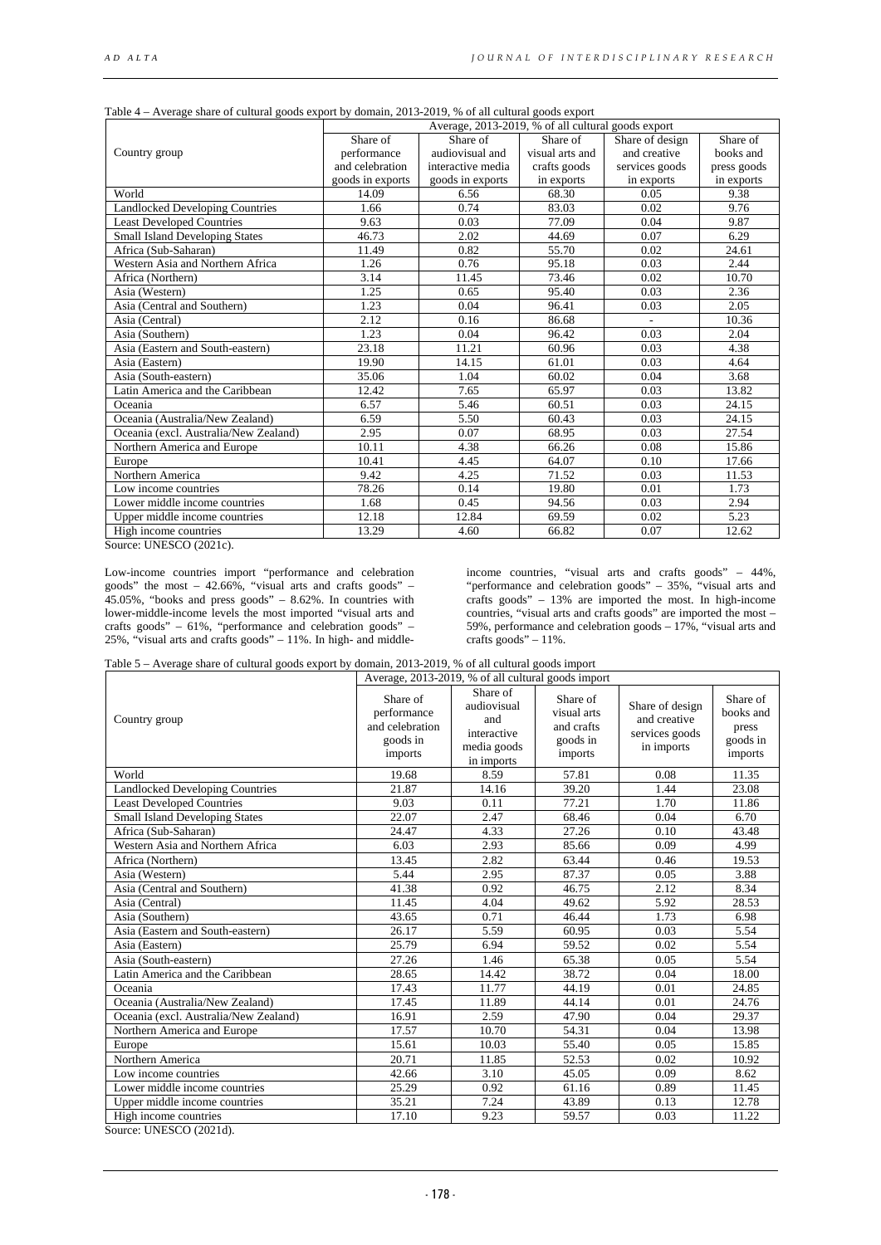| Share of design<br>Share of<br>and creative<br>books and<br>services goods<br>press goods<br>in exports<br>in exports<br>9.38<br>9.76<br>9.87<br>6.29<br>24.61<br>2.44<br>10.70 |
|---------------------------------------------------------------------------------------------------------------------------------------------------------------------------------|
|                                                                                                                                                                                 |
|                                                                                                                                                                                 |
|                                                                                                                                                                                 |
|                                                                                                                                                                                 |
|                                                                                                                                                                                 |
|                                                                                                                                                                                 |
|                                                                                                                                                                                 |
|                                                                                                                                                                                 |
|                                                                                                                                                                                 |
|                                                                                                                                                                                 |
|                                                                                                                                                                                 |
| 2.36                                                                                                                                                                            |
| 2.05                                                                                                                                                                            |
| 10.36                                                                                                                                                                           |
| 2.04                                                                                                                                                                            |
| 4.38                                                                                                                                                                            |
| 4.64                                                                                                                                                                            |
| 3.68                                                                                                                                                                            |
| 13.82                                                                                                                                                                           |
| 24.15                                                                                                                                                                           |
| 24.15                                                                                                                                                                           |
| 27.54                                                                                                                                                                           |
| 15.86                                                                                                                                                                           |
| 17.66                                                                                                                                                                           |
| 11.53                                                                                                                                                                           |
| 1.73                                                                                                                                                                            |
| 2.94                                                                                                                                                                            |
| 5.23                                                                                                                                                                            |
| 12.62                                                                                                                                                                           |
|                                                                                                                                                                                 |

| Table 4 – Average share of cultural goods export by domain, 2013-2019, % of all cultural goods export |  |  |
|-------------------------------------------------------------------------------------------------------|--|--|
|                                                                                                       |  |  |

Source: UNESCO (2021c).

Low-income countries import "performance and celebration goods" the most – 42.66%, "visual arts and crafts goods" – 45.05%, "books and press goods" – 8.62%. In countries with lower-middle-income levels the most imported "visual arts and crafts goods" – 61%, "performance and celebration goods" – 25%, "visual arts and crafts goods" – 11%. In high- and middle-

income countries, "visual arts and crafts goods" – 44%, "performance and celebration goods" – 35%, "visual arts and crafts goods" – 13% are imported the most. In high-income countries, "visual arts and crafts goods" are imported the most – 59%, performance and celebration goods – 17%, "visual arts and crafts goods"  $-11\%$ .

|                                        | Average, 2013-2019, % of all cultural goods import                |                                                                            |                                                              |                                                                 |                                                       |
|----------------------------------------|-------------------------------------------------------------------|----------------------------------------------------------------------------|--------------------------------------------------------------|-----------------------------------------------------------------|-------------------------------------------------------|
| Country group                          | Share of<br>performance<br>and celebration<br>goods in<br>imports | Share of<br>audiovisual<br>and<br>interactive<br>media goods<br>in imports | Share of<br>visual arts<br>and crafts<br>goods in<br>imports | Share of design<br>and creative<br>services goods<br>in imports | Share of<br>books and<br>press<br>goods in<br>imports |
| World                                  | 19.68                                                             | 8.59                                                                       | 57.81                                                        | 0.08                                                            | 11.35                                                 |
| <b>Landlocked Developing Countries</b> | 21.87                                                             | 14.16                                                                      | 39.20                                                        | 1.44                                                            | 23.08                                                 |
| <b>Least Developed Countries</b>       | 9.03                                                              | 0.11                                                                       | 77.21                                                        | 1.70                                                            | 11.86                                                 |
| <b>Small Island Developing States</b>  | 22.07                                                             | 2.47                                                                       | 68.46                                                        | 0.04                                                            | 6.70                                                  |
| Africa (Sub-Saharan)                   | 24.47                                                             | 4.33                                                                       | 27.26                                                        | 0.10                                                            | 43.48                                                 |
| Western Asia and Northern Africa       | 6.03                                                              | 2.93                                                                       | 85.66                                                        | 0.09                                                            | 4.99                                                  |
| Africa (Northern)                      | 13.45                                                             | 2.82                                                                       | 63.44                                                        | 0.46                                                            | 19.53                                                 |
| Asia (Western)                         | 5.44                                                              | 2.95                                                                       | 87.37                                                        | 0.05                                                            | 3.88                                                  |
| Asia (Central and Southern)            | 41.38                                                             | 0.92                                                                       | 46.75                                                        | 2.12                                                            | 8.34                                                  |
| Asia (Central)                         | 11.45                                                             | 4.04                                                                       | 49.62                                                        | 5.92                                                            | 28.53                                                 |
| Asia (Southern)                        | 43.65                                                             | 0.71                                                                       | 46.44                                                        | 1.73                                                            | 6.98                                                  |
| Asia (Eastern and South-eastern)       | 26.17                                                             | 5.59                                                                       | 60.95                                                        | 0.03                                                            | 5.54                                                  |
| Asia (Eastern)                         | 25.79                                                             | 6.94                                                                       | 59.52                                                        | 0.02                                                            | 5.54                                                  |
| Asia (South-eastern)                   | 27.26                                                             | 1.46                                                                       | 65.38                                                        | 0.05                                                            | 5.54                                                  |
| Latin America and the Caribbean        | 28.65                                                             | 14.42                                                                      | 38.72                                                        | 0.04                                                            | 18.00                                                 |
| Oceania                                | 17.43                                                             | 11.77                                                                      | 44.19                                                        | 0.01                                                            | 24.85                                                 |
| Oceania (Australia/New Zealand)        | 17.45                                                             | 11.89                                                                      | 44.14                                                        | 0.01                                                            | 24.76                                                 |
| Oceania (excl. Australia/New Zealand)  | 16.91                                                             | 2.59                                                                       | 47.90                                                        | 0.04                                                            | 29.37                                                 |
| Northern America and Europe            | 17.57                                                             | 10.70                                                                      | 54.31                                                        | 0.04                                                            | 13.98                                                 |
| Europe                                 | 15.61                                                             | 10.03                                                                      | 55.40                                                        | 0.05                                                            | 15.85                                                 |
| Northern America                       | 20.71                                                             | 11.85                                                                      | 52.53                                                        | 0.02                                                            | 10.92                                                 |
| Low income countries                   | 42.66                                                             | 3.10                                                                       | 45.05                                                        | 0.09                                                            | 8.62                                                  |
| Lower middle income countries          | 25.29                                                             | 0.92                                                                       | 61.16                                                        | 0.89                                                            | 11.45                                                 |
| Upper middle income countries          | 35.21                                                             | 7.24                                                                       | 43.89                                                        | 0.13                                                            | 12.78                                                 |
| High income countries                  | 17.10                                                             | 9.23                                                                       | 59.57                                                        | 0.03                                                            | 11.22                                                 |

Table 5 – Average share of cultural goods export by domain, 2013-2019, % of all cultural goods import

Source: UNESCO (2021d).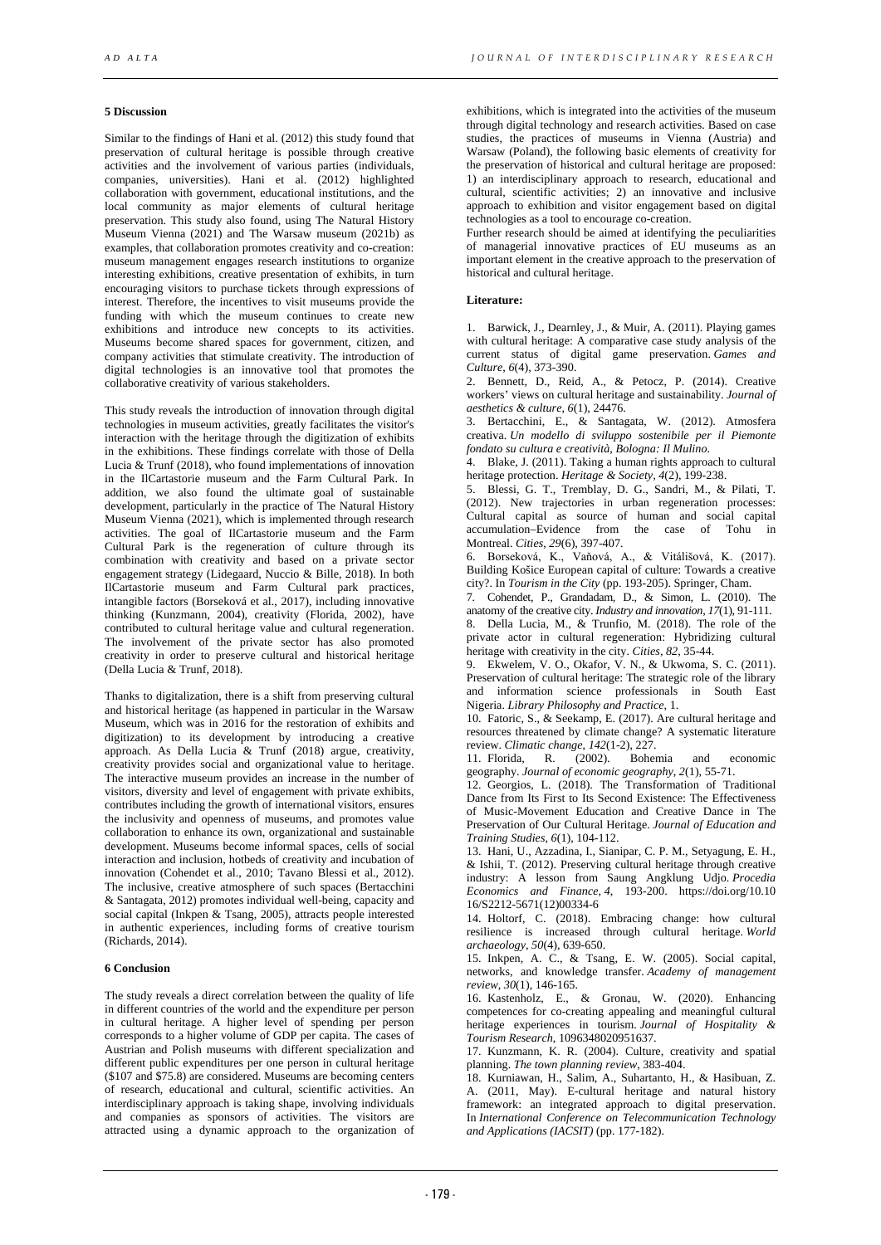# **5 Discussion**

Similar to the findings of Hani et al. (2012) this study found that preservation of cultural heritage is possible through creative activities and the involvement of various parties (individuals, companies, universities). Hani et al. (2012) highlighted collaboration with government, educational institutions, and the local community as major elements of cultural heritage preservation. This study also found, using The Natural History Museum Vienna (2021) and The Warsaw museum (2021b) as examples, that collaboration promotes creativity and co-creation: museum management engages research institutions to organize interesting exhibitions, creative presentation of exhibits, in turn encouraging visitors to purchase tickets through expressions of interest. Therefore, the incentives to visit museums provide the funding with which the museum continues to create new exhibitions and introduce new concepts to its activities. Museums become shared spaces for government, citizen, and company activities that stimulate creativity. The introduction of digital technologies is an innovative tool that promotes the collaborative creativity of various stakeholders.

This study reveals the introduction of innovation through digital technologies in museum activities, greatly facilitates the visitor's interaction with the heritage through the digitization of exhibits in the exhibitions. These findings correlate with those of Della Lucia & Trunf (2018), who found implementations of innovation in the IlCartastorie museum and the Farm Cultural Park. In addition, we also found the ultimate goal of sustainable development, particularly in the practice of The Natural History Museum Vienna (2021), which is implemented through research activities. The goal of IlCartastorie museum and the Farm Cultural Park is the regeneration of culture through its combination with creativity and based on a private sector engagement strategy (Lidegaard, Nuccio & Bille, 2018). In both IlCartastorie museum and Farm Cultural park practices, intangible factors (Borseková et al., 2017), including innovative thinking (Kunzmann, 2004), creativity (Florida, 2002), have contributed to cultural heritage value and cultural regeneration. The involvement of the private sector has also promoted creativity in order to preserve cultural and historical heritage (Della Lucia & Trunf, 2018).

Thanks to digitalization, there is a shift from preserving cultural and historical heritage (as happened in particular in the Warsaw Museum, which was in 2016 for the restoration of exhibits and digitization) to its development by introducing a creative approach. As Della Lucia & Trunf (2018) argue, creativity, creativity provides social and organizational value to heritage. The interactive museum provides an increase in the number of visitors, diversity and level of engagement with private exhibits, contributes including the growth of international visitors, ensures the inclusivity and openness of museums, and promotes value collaboration to enhance its own, organizational and sustainable development. Museums become informal spaces, cells of social interaction and inclusion, hotbeds of creativity and incubation of innovation (Cohendet et al., 2010; Tavano Blessi et al., 2012). The inclusive, creative atmosphere of such spaces (Bertacchini & Santagata, 2012) promotes individual well-being, capacity and social capital (Inkpen & Tsang, 2005), attracts people interested in authentic experiences, including forms of creative tourism (Richards, 2014).

#### **6 Conclusion**

The study reveals a direct correlation between the quality of life in different countries of the world and the expenditure per person in cultural heritage. A higher level of spending per person corresponds to a higher volume of GDP per capita. The cases of Austrian and Polish museums with different specialization and different public expenditures per one person in cultural heritage (\$107 and \$75.8) are considered. Museums are becoming centers of research, educational and cultural, scientific activities. An interdisciplinary approach is taking shape, involving individuals and companies as sponsors of activities. The visitors are attracted using a dynamic approach to the organization of

exhibitions, which is integrated into the activities of the museum through digital technology and research activities. Based on case studies, the practices of museums in Vienna (Austria) and Warsaw (Poland), the following basic elements of creativity for the preservation of historical and cultural heritage are proposed: 1) an interdisciplinary approach to research, educational and cultural, scientific activities; 2) an innovative and inclusive approach to exhibition and visitor engagement based on digital technologies as a tool to encourage co-creation.

Further research should be aimed at identifying the peculiarities of managerial innovative practices of EU museums as an important element in the creative approach to the preservation of historical and cultural heritage.

### **Literature:**

1. Barwick, J., Dearnley, J., & Muir, A. (2011). Playing games with cultural heritage: A comparative case study analysis of the current status of digital game preservation. *Games and Culture*, *6*(4), 373-390.

2. Bennett, D., Reid, A., & Petocz, P. (2014). Creative workers' views on cultural heritage and sustainability. *Journal of aesthetics & culture*, *6*(1), 24476.

3. Bertacchini, E., & Santagata, W. (2012). Atmosfera creativa. *Un modello di sviluppo sostenibile per il Piemonte fondato su cultura e creatività, Bologna: Il Mulino*.

4. Blake, J. (2011). Taking a human rights approach to cultural heritage protection. *Heritage & Society*, *4*(2), 199-238.

5. Blessi, G. T., Tremblay, D. G., Sandri, M., & Pilati, T. (2012). New trajectories in urban regeneration processes: Cultural capital as source of human and social capital accumulation–Evidence from the case of Tohu in Montreal. *Cities*, *29*(6), 397-407.

6. Borseková, K., Vaňová, A., & Vitálišová, K. (2017). Building Košice European capital of culture: Towards a creative city?. In *Tourism in the City* (pp. 193-205). Springer, Cham.

7. Cohendet, P., Grandadam, D., & Simon, L. (2010). The anatomy of the creative city. *Industry and innovation*, *17*(1), 91-111.

8. Della Lucia, M., & Trunfio, M. (2018). The role of the private actor in cultural regeneration: Hybridizing cultural heritage with creativity in the city. *Cities*, *82*, 35-44.

9. Ekwelem, V. O., Okafor, V. N., & Ukwoma, S. C. (2011). Preservation of cultural heritage: The strategic role of the library and information science professionals in South East Nigeria. *Library Philosophy and Practice*, 1.

10. Fatoric, S., & Seekamp, E. (2017). Are cultural heritage and resources threatened by climate change? A systematic literature

review. *Climatic change*, *142*(1-2), 227. 11. Florida, R. (2002). Bohemia and economic geography. *Journal of economic geography*, *2*(1), 55-71.

12. Georgios, L. (2018). The Transformation of Traditional Dance from Its First to Its Second Existence: The Effectiveness of Music-Movement Education and Creative Dance in The Preservation of Our Cultural Heritage. *Journal of Education and Training Studies*, *6*(1), 104-112.

13. Hani, U., Azzadina, I., Sianipar, C. P. M., Setyagung, E. H., & Ishii, T. (2012). Preserving cultural heritage through creative industry: A lesson from Saung Angklung Udjo. *Procedia Economics and Finance*, *4*, 193-200. https://doi.org/10.10 16/S2212-5671(12)00334-6

14. Holtorf, C. (2018). Embracing change: how cultural resilience is increased through cultural heritage. *World archaeology*, *50*(4), 639-650.

15. Inkpen, A. C., & Tsang, E. W. (2005). Social capital, networks, and knowledge transfer. *Academy of management review*, *30*(1), 146-165.

16. Kastenholz, E., & Gronau, W. (2020). Enhancing competences for co-creating appealing and meaningful cultural heritage experiences in tourism. *Journal of Hospitality & Tourism Research*, 1096348020951637.

17. Kunzmann, K. R. (2004). Culture, creativity and spatial planning. *The town planning review*, 383-404.

18. Kurniawan, H., Salim, A., Suhartanto, H., & Hasibuan, Z. A. (2011, May). E-cultural heritage and natural history framework: an integrated approach to digital preservation. In *International Conference on Telecommunication Technology and Applications (IACSIT)* (pp. 177-182).